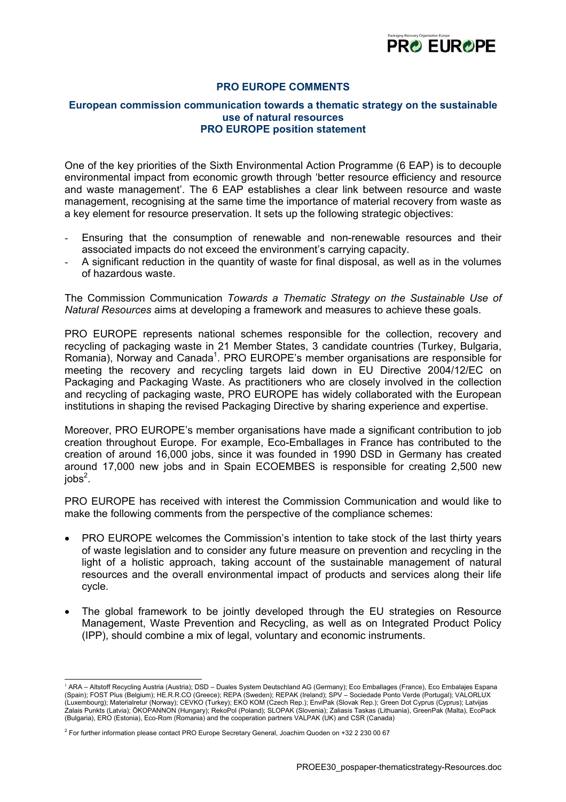

## **PRO EUROPE COMMENTS**

## **European commission communication towards a thematic strategy on the sustainable use of natural resources PRO EUROPE position statement**

One of the key priorities of the Sixth Environmental Action Programme (6 EAP) is to decouple environmental impact from economic growth through 'better resource efficiency and resource and waste management'. The 6 EAP establishes a clear link between resource and waste management, recognising at the same time the importance of material recovery from waste as a key element for resource preservation. It sets up the following strategic objectives:

- Ensuring that the consumption of renewable and non-renewable resources and their associated impacts do not exceed the environment's carrying capacity.
- A significant reduction in the quantity of waste for final disposal, as well as in the volumes of hazardous waste.

The Commission Communication *Towards a Thematic Strategy on the Sustainable Use of Natural Resources* aims at developing a framework and measures to achieve these goals.

PRO EUROPE represents national schemes responsible for the collection, recovery and recycling of packaging waste in 21 Member States, 3 candidate countries (Turkey, Bulgaria, Romania), Norway and Canada<sup>1</sup>[.](#page-0-0) PRO EUROPE's member organisations are responsible for meeting the recovery and recycling targets laid down in EU Directive 2004/12/EC on Packaging and Packaging Waste. As practitioners who are closely involved in the collection and recycling of packaging waste, PRO EUROPE has widely collaborated with the European institutions in shaping the revised Packaging Directive by sharing experience and expertise.

Moreover, PRO EUROPE's member organisations have made a significant contribution to job creation throughout Europe. For example, Eco-Emballages in France has contributed to the creation of around 16,000 jobs, since it was founded in 1990 DSD in Germany has created around 17,000 new jobs and in Spain ECOEMBES is responsible for creating 2,500 new job $s^2$  $s^2$ .

PRO EUROPE has received with interest the Commission Communication and would like to make the following comments from the perspective of the compliance schemes:

- PRO EUROPE welcomes the Commission's intention to take stock of the last thirty years of waste legislation and to consider any future measure on prevention and recycling in the light of a holistic approach, taking account of the sustainable management of natural resources and the overall environmental impact of products and services along their life cycle.
- The global framework to be jointly developed through the EU strategies on Resource Management, Waste Prevention and Recycling, as well as on Integrated Product Policy (IPP), should combine a mix of legal, voluntary and economic instruments.

<span id="page-0-0"></span> <sup>1</sup> ARA – Altstoff Recycling Austria (Austria); DSD – Duales System Deutschland AG (Germany); Eco Emballages (France), Eco Embalajes Espana (Spain); FOST Plus (Belgium); HE.R.R.CO (Greece); REPA (Sweden); REPAK (Ireland); SPV – Sociedade Ponto Verde (Portugal); VALORLUX (Luxembourg); Materialretur (Norway); CEVKO (Turkey); EKO KOM (Czech Rep.); EnviPak (Slovak Rep.); Green Dot Cyprus (Cyprus); Latvijas Zalais Punkts (Latvia); ÖKOPANNON (Hungary); RekoPol (Poland); SLOPAK (Slovenia); Zaliasis Taskas (Lithuania), GreenPak (Malta), EcoPack (Bulgaria), ERO (Estonia), Eco-Rom (Romania) and the cooperation partners VALPAK (UK) and CSR (Canada)

<span id="page-0-1"></span><sup>2</sup> For further information please contact PRO Europe Secretary General, Joachim Quoden on +32 2 230 00 67